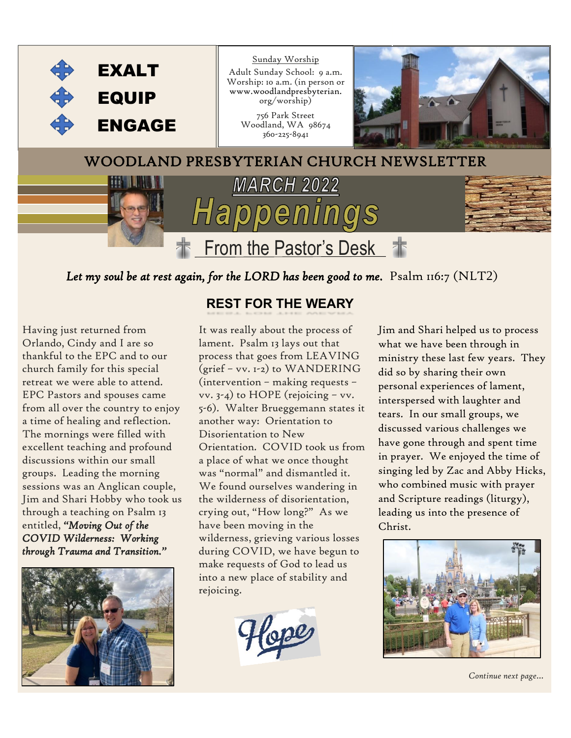

*Let my soul be at rest again, for the LORD has been good to me.* Psalm 116:7 (NLT2)

Having just returned from Orlando, Cindy and I are so thankful to the EPC and to our church family for this special retreat we were able to attend. EPC Pastors and spouses came from all over the country to enjoy a time of healing and reflection. The mornings were filled with excellent teaching and profound discussions within our small groups. Leading the morning sessions was an Anglican couple, Jim and Shari Hobby who took us through a teaching on Psalm 13 entitled, *"Moving Out of the COVID Wilderness: Working through Trauma and Transition."*



#### **REST FOR THE WEARY**

It was really about the process of lament. Psalm 13 lays out that process that goes from LEAVING (grief – vv. 1-2) to WANDERING (intervention – making requests – vv. 3-4) to HOPE (rejoicing – vv. 5-6). Walter Brueggemann states it another way: Orientation to Disorientation to New Orientation. COVID took us from a place of what we once thought was "normal" and dismantled it. We found ourselves wandering in the wilderness of disorientation, crying out, "How long?" As we have been moving in the wilderness, grieving various losses during COVID, we have begun to make requests of God to lead us into a new place of stability and rejoicing.



Jim and Shari helped us to process what we have been through in ministry these last few years. They did so by sharing their own personal experiences of lament, interspersed with laughter and tears. In our small groups, we discussed various challenges we have gone through and spent time in prayer. We enjoyed the time of singing led by Zac and Abby Hicks, who combined music with prayer and Scripture readings (liturgy), leading us into the presence of Christ.



*Continue next page…*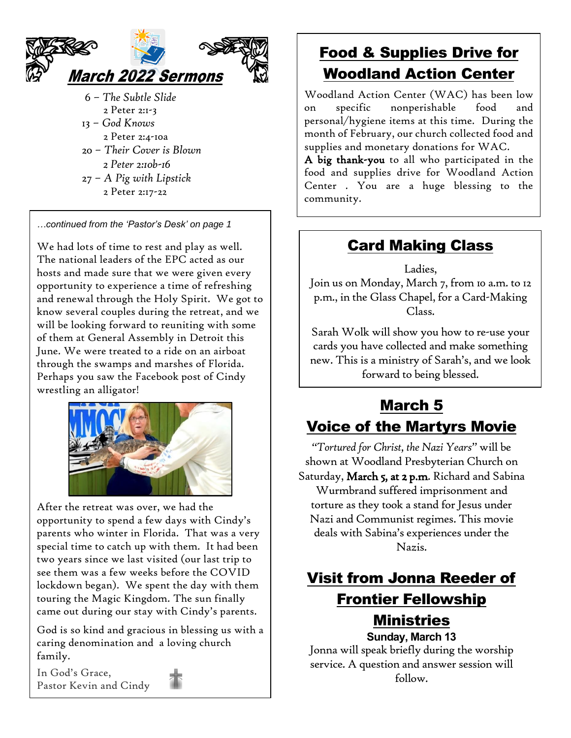

- 6 *The Subtle Slide* 2 Peter 2:1-3
- 13 *God Knows* 2 Peter 2:4-10a
- 20 *Their Cover is Blown*
- *2 Peter 2:10b-16* 27 – *A Pig with Lipstick*
- 2 Peter 2:17-22

*…continued from the 'Pastor's Desk' on page 1*

We had lots of time to rest and play as well. The national leaders of the EPC acted as our hosts and made sure that we were given every opportunity to experience a time of refreshing and renewal through the Holy Spirit. We got to know several couples during the retreat, and we will be looking forward to reuniting with some of them at General Assembly in Detroit this June. We were treated to a ride on an airboat through the swamps and marshes of Florida. Perhaps you saw the Facebook post of Cindy wrestling an alligator!



After the retreat was over, we had the opportunity to spend a few days with Cindy's parents who winter in Florida. That was a very special time to catch up with them. It had been two years since we last visited (our last trip to see them was a few weeks before the COVID lockdown began). We spent the day with them touring the Magic Kingdom. The sun finally came out during our stay with Cindy's parents.

God is so kind and gracious in blessing us with a caring denomination and a loving church family.

In God's Grace, Pastor Kevin and Cindy



## Food & Supplies Drive for Woodland Action Center

Woodland Action Center (WAC) has been low on specific nonperishable food and personal/hygiene items at this time. During the month of February, our church collected food and supplies and monetary donations for WAC.

A big thank-you to all who participated in the food and supplies drive for Woodland Action Center . You are a huge blessing to the community.

## Card Making Class

Ladies, Join us on Monday, March 7, from 10 a.m. to 12 p.m., in the Glass Chapel, for a Card-Making Class.

Sarah Wolk will show you how to re-use your cards you have collected and make something new. This is a ministry of Sarah's, and we look forward to being blessed.

### March 5 Voice of the Martyrs Movie

*"Tortured for Christ, the Nazi Years"* will be shown at Woodland Presbyterian Church on Saturday, March 5, at 2 p.m. Richard and Sabina Wurmbrand suffered imprisonment and torture as they took a stand for Jesus under Nazi and Communist regimes. This movie deals with Sabina's experiences under the Nazis.

## Visit from Jonna Reeder of Frontier Fellowship Ministries

**Sunday, March 13** Jonna will speak briefly during the worship service. A question and answer session will follow.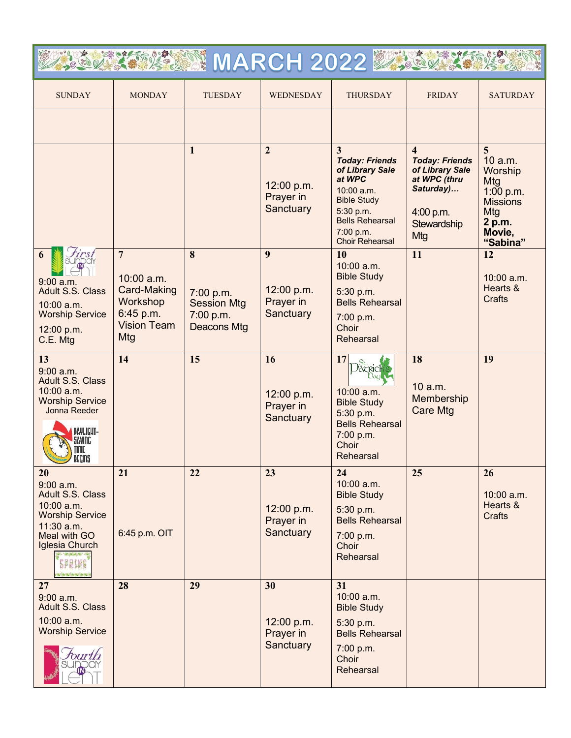| <b>NARCH 2022 2024</b>                                                                                                                                   |                                                                                                            |                                                                         |                                                        |                                                                                                                                                                           |                                                                                                                                     |                                                                                                                    |
|----------------------------------------------------------------------------------------------------------------------------------------------------------|------------------------------------------------------------------------------------------------------------|-------------------------------------------------------------------------|--------------------------------------------------------|---------------------------------------------------------------------------------------------------------------------------------------------------------------------------|-------------------------------------------------------------------------------------------------------------------------------------|--------------------------------------------------------------------------------------------------------------------|
| <b>SUNDAY</b>                                                                                                                                            | <b>MONDAY</b>                                                                                              | <b>TUESDAY</b>                                                          | WEDNESDAY                                              | <b>THURSDAY</b>                                                                                                                                                           | <b>FRIDAY</b>                                                                                                                       | <b>SATURDAY</b>                                                                                                    |
|                                                                                                                                                          |                                                                                                            |                                                                         |                                                        |                                                                                                                                                                           |                                                                                                                                     |                                                                                                                    |
|                                                                                                                                                          |                                                                                                            | 1                                                                       | $\overline{2}$<br>12:00 p.m.<br>Prayer in<br>Sanctuary | 3<br><b>Today: Friends</b><br>of Library Sale<br>at WPC<br>10:00 a.m.<br><b>Bible Study</b><br>5:30 p.m.<br><b>Bells Rehearsal</b><br>7:00 p.m.<br><b>Choir Rehearsal</b> | $\overline{\mathbf{4}}$<br><b>Today: Friends</b><br>of Library Sale<br>at WPC (thru<br>Saturday)<br>4:00 p.m.<br>Stewardship<br>Mtg | $\overline{5}$<br>10 a.m.<br>Worship<br>Mtg<br>1:00 p.m.<br><b>Missions</b><br>Mtg<br>2 p.m.<br>Movie,<br>"Sabina" |
| first<br>6<br>$9:00$ a.m.<br><b>Adult S.S. Class</b><br>10:00 a.m.<br><b>Worship Service</b><br>12:00 p.m.<br>C.E. Mtg                                   | $\overline{7}$<br>$10:00$ a.m.<br><b>Card-Making</b><br>Workshop<br>6:45 p.m.<br><b>Vision Team</b><br>Mtg | 8<br>7:00 p.m.<br><b>Session Mtg</b><br>7:00 p.m.<br><b>Deacons Mtg</b> | 9<br>12:00 p.m.<br>Prayer in<br>Sanctuary              | 10<br>10:00 a.m.<br><b>Bible Study</b><br>5:30 p.m.<br><b>Bells Rehearsal</b><br>7:00 p.m.<br>Choir<br>Rehearsal                                                          | 11                                                                                                                                  | 12<br>10:00 a.m.<br>Hearts &<br><b>Crafts</b>                                                                      |
| 13<br>$9:00$ a.m.<br>Adult S.S. Class<br>10:00 a.m.<br><b>Worship Service</b><br>Jonna Reeder<br><b>DAVLICUT-</b><br>SAVING<br>NIIE.<br>DECINS<br>$\sim$ | 14                                                                                                         | 15                                                                      | 16<br>12:00 p.m.<br>Prayer in<br>Sanctuary             | 17<br>Dacrich<br>10:00 a.m.<br><b>Bible Study</b><br>5:30 p.m.<br><b>Bells Rehearsal</b><br>7:00 p.m.<br>Choir<br>Rehearsal                                               | 18<br>10 a.m.<br>Membership<br><b>Care Mtg</b>                                                                                      | 19                                                                                                                 |
| 20<br>$9:00$ a.m.<br>Adult S.S. Class<br>$10:00$ a.m.<br><b>Worship Service</b><br>11:30 a.m.<br>Meal with GO<br>Iglesia Church<br>a londa horizonta     | 21<br>6:45 p.m. OIT                                                                                        | 22                                                                      | 23<br>12:00 p.m.<br>Prayer in<br>Sanctuary             | 24<br>10:00 a.m.<br><b>Bible Study</b><br>5:30 p.m.<br><b>Bells Rehearsal</b><br>7:00 p.m.<br>Choir<br>Rehearsal                                                          | 25                                                                                                                                  | 26<br>$10:00$ a.m.<br>Hearts &<br><b>Crafts</b>                                                                    |
| 27<br>$9:00$ a.m.<br>Adult S.S. Class<br>10:00 a.m.<br><b>Worship Service</b>                                                                            | 28                                                                                                         | 29                                                                      | 30<br>12:00 p.m.<br>Prayer in<br>Sanctuary             | 31<br>10:00 a.m.<br><b>Bible Study</b><br>5:30 p.m.<br><b>Bells Rehearsal</b><br>7:00 p.m.<br>Choir<br>Rehearsal                                                          |                                                                                                                                     |                                                                                                                    |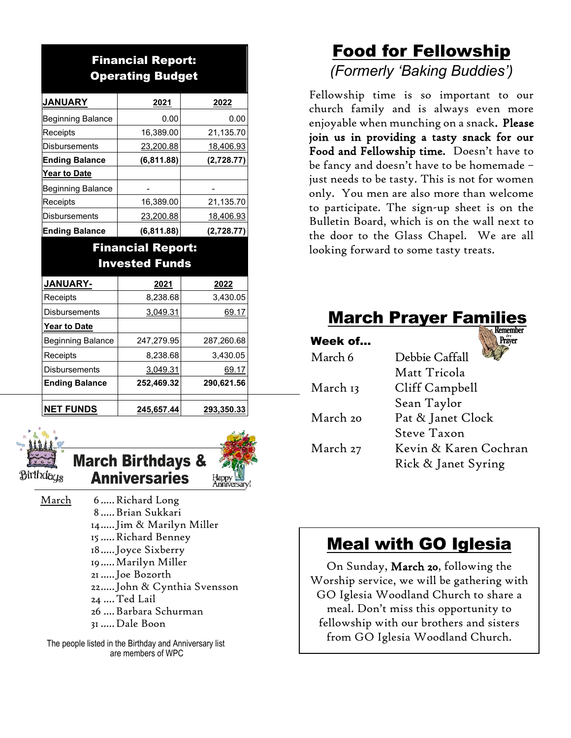#### Financial Report: Operating Budget

| <b>JANUARY</b>           | 2021        | 2022       |  |
|--------------------------|-------------|------------|--|
| Beginning Balance        | 0.00        | 0.00       |  |
| Receipts                 | 16,389.00   | 21,135.70  |  |
| <b>Disbursements</b>     | 23,200.88   | 18,406.93  |  |
| <b>Ending Balance</b>    | (6, 811.88) | (2,728.77) |  |
| <b>Year to Date</b>      |             |            |  |
| <b>Beginning Balance</b> |             |            |  |
| Receipts                 | 16,389.00   | 21,135.70  |  |
| <b>Disbursements</b>     | 23,200.88   | 18,406.93  |  |
| <b>Ending Balance</b>    | (6, 811.88) | (2,728.77) |  |

#### Financial Report: Invested Funds

| JANUARY-                 | 2021       | 2022       |  |
|--------------------------|------------|------------|--|
| Receipts                 | 8,238.68   | 3,430.05   |  |
| <b>Disbursements</b>     | 3,049.31   | 69.17      |  |
| <b>Year to Date</b>      |            |            |  |
| <b>Beginning Balance</b> | 247,279.95 | 287,260.68 |  |
| Receipts                 | 8,238.68   | 3,430.05   |  |
| <b>Disbursements</b>     | 3,049.31   | 69.17      |  |
| <b>Ending Balance</b>    | 252,469.32 | 290,621.56 |  |
|                          |            |            |  |
| <b>NET FUNDS</b>         | 245,657.44 | 293,350.33 |  |



March Birthdays & **Anniversaries** 

March 6..... Richard Long .....Brian Sukkari .....Jim & Marilyn Miller .....Richard Benney .....Joyce Sixberry .....Marilyn Miller .....Joe Bozorth .....John & Cynthia Svensson ....Ted Lail ....Barbara Schurman .....Dale Boon

 The people listed in the Birthday and Anniversary list are members of WPC

## Food for Fellowship *(Formerly 'Baking Buddies')*

Fellowship time is so important to our church family and is always even more enjoyable when munching on a snack. Please join us in providing a tasty snack for our Food and Fellowship time. Doesn't have to be fancy and doesn't have to be homemade – just needs to be tasty. This is not for women only. You men are also more than welcome to participate. The sign-up sheet is on the Bulletin Board, which is on the wall next to the door to the Glass Chapel. We are all looking forward to some tasty treats.

# **March Prayer Famil**

| Week of  | er                    |
|----------|-----------------------|
| March 6  | Debbie Caffall        |
|          | Matt Tricola          |
| March 13 | Cliff Campbell        |
|          | Sean Taylor           |
| March 20 | Pat & Janet Clock     |
|          | Steve Taxon           |
| March 27 | Kevin & Karen Cochran |
|          | Rick & Janet Syring   |

# Meal with GO Iglesia

On Sunday, March 20, following the Worship service, we will be gathering with GO Iglesia Woodland Church to share a meal. Don't miss this opportunity to fellowship with our brothers and sisters from GO Iglesia Woodland Church.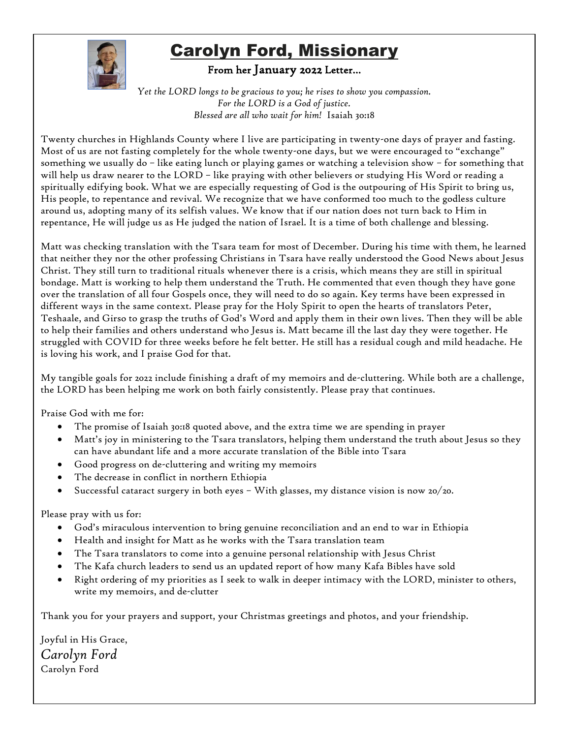

# Carolyn Ford, Missionary

#### From her January 2022 Letter…

*Yet the LORD longs to be gracious to you; he rises to show you compassion. For the LORD is a God of justice. Blessed are all who wait for him!* Isaiah 30:18

Twenty churches in Highlands County where I live are participating in twenty-one days of prayer and fasting. Most of us are not fasting completely for the whole twenty-one days, but we were encouraged to "exchange" something we usually do – like eating lunch or playing games or watching a television show – for something that will help us draw nearer to the LORD – like praying with other believers or studying His Word or reading a spiritually edifying book. What we are especially requesting of God is the outpouring of His Spirit to bring us, His people, to repentance and revival. We recognize that we have conformed too much to the godless culture around us, adopting many of its selfish values. We know that if our nation does not turn back to Him in repentance, He will judge us as He judged the nation of Israel. It is a time of both challenge and blessing.

Matt was checking translation with the Tsara team for most of December. During his time with them, he learned that neither they nor the other professing Christians in Tsara have really understood the Good News about Jesus Christ. They still turn to traditional rituals whenever there is a crisis, which means they are still in spiritual bondage. Matt is working to help them understand the Truth. He commented that even though they have gone over the translation of all four Gospels once, they will need to do so again. Key terms have been expressed in different ways in the same context. Please pray for the Holy Spirit to open the hearts of translators Peter, Teshaale, and Girso to grasp the truths of God's Word and apply them in their own lives. Then they will be able to help their families and others understand who Jesus is. Matt became ill the last day they were together. He struggled with COVID for three weeks before he felt better. He still has a residual cough and mild headache. He is loving his work, and I praise God for that.

My tangible goals for 2022 include finishing a draft of my memoirs and de-cluttering. While both are a challenge, the LORD has been helping me work on both fairly consistently. Please pray that continues.

Praise God with me for:

- The promise of Isaiah 30:18 quoted above, and the extra time we are spending in prayer
- Matt's joy in ministering to the Tsara translators, helping them understand the truth about Jesus so they can have abundant life and a more accurate translation of the Bible into Tsara
- Good progress on de-cluttering and writing my memoirs
- The decrease in conflict in northern Ethiopia
- Successful cataract surgery in both eyes With glasses, my distance vision is now 20/20.

Please pray with us for:

- God's miraculous intervention to bring genuine reconciliation and an end to war in Ethiopia
- Health and insight for Matt as he works with the Tsara translation team
- The Tsara translators to come into a genuine personal relationship with Jesus Christ
- The Kafa church leaders to send us an updated report of how many Kafa Bibles have sold
- Right ordering of my priorities as I seek to walk in deeper intimacy with the LORD, minister to others, write my memoirs, and de-clutter

Thank you for your prayers and support, your Christmas greetings and photos, and your friendship.

Joyful in His Grace, *Carolyn Ford* Carolyn Ford